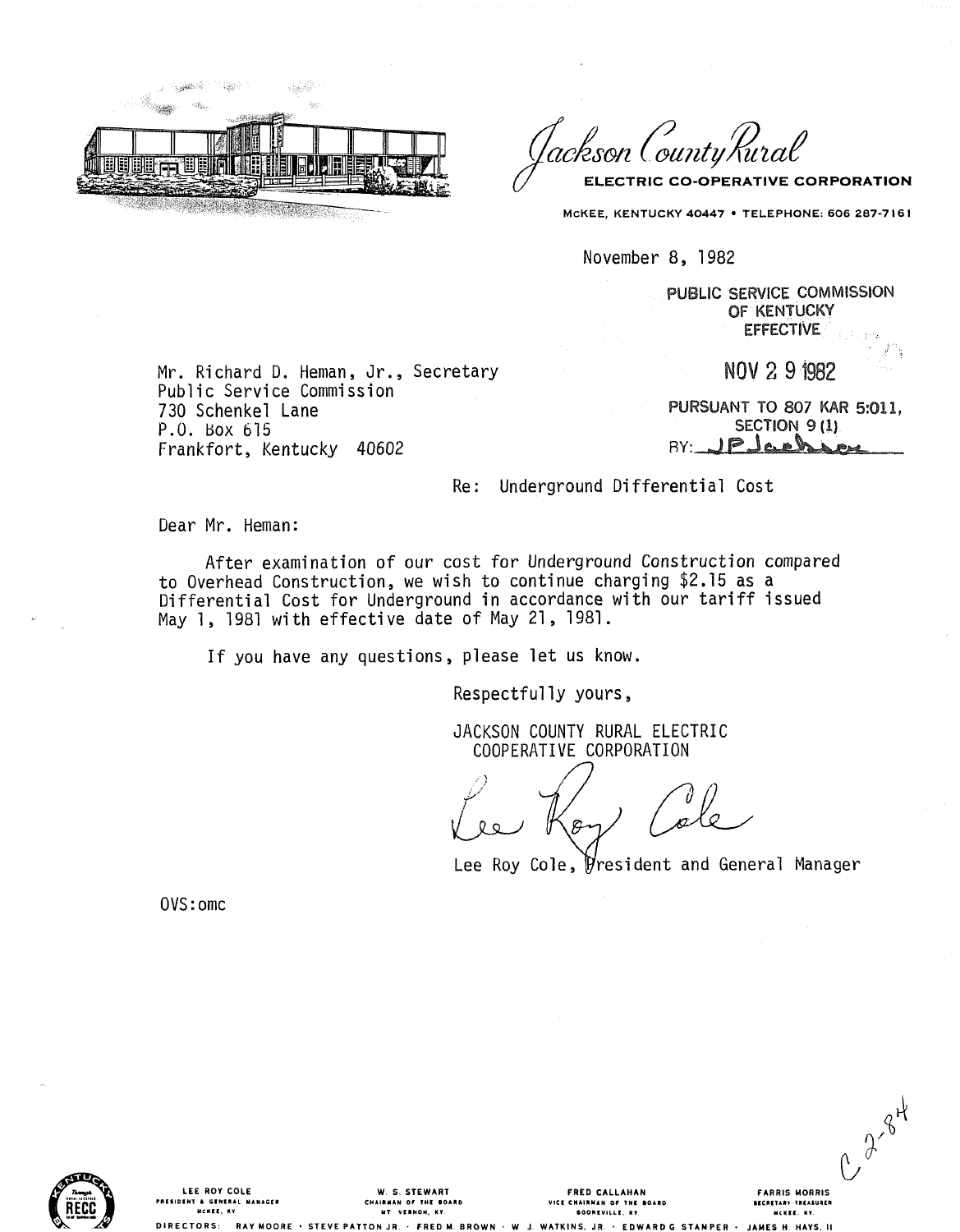

'lackson ('ounty' Kural ELECTRIC CO-OPERATIVE CORPORATION

MCKEE, KENTUCKY 40447 . TELEPHONE: 606 287-7161

November 8, 1982

PUBLIC SERVICE COMMISSION OF KENTUCKY **EFFECTIVE** 

Mr. Richard D. Heman, Jr., Secretary Public Service Commission 730 Schenkel Lane P.O. Box 615 Frankfort, Kentucky 40602

NOV 291982

**PURSUANT TO 807 KAR 5:011. SECTION 9 (1)** JPJack  $BY:$ 

C 2-84

**FARRIS MORRIS** 

SECRETARY-TREASURER

MCKEE. KY.

S H. HAYS,

Re: Underground Differential Cost

Dear Mr. Heman:

After examination of our cost for Underground Construction compared to Overhead Construction, we wish to continue charging \$2.15 as a Differential Cost for Underground in accordance with our tariff issued May 1, 1981 with effective date of May 21, 1981.

If you have any questions, please let us know.

Respectfully yours,

JACKSON COUNTY RURAL ELECTRIC COOPERATIVE CORPORATION

 $\Omega$ 

Lee Roy Cole, President and General Manager

OVS: omc